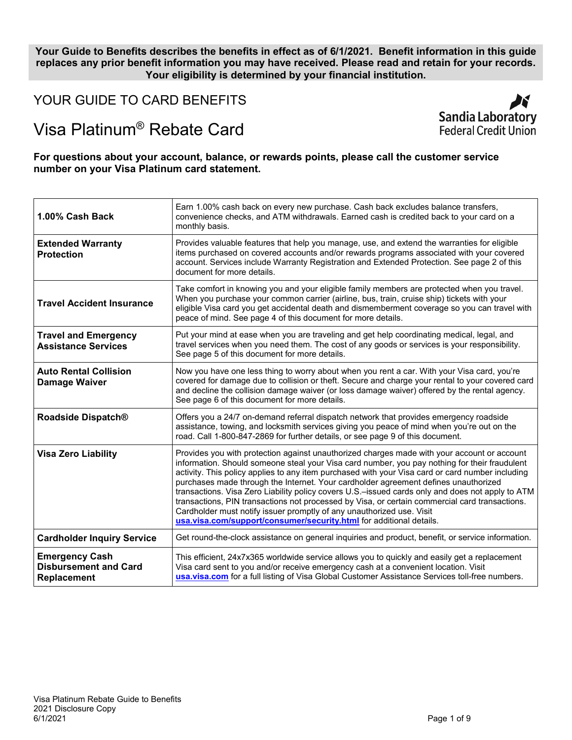**Your Guide to Benefits describes the benefits in effect as of 6/1/2021. Benefit information in this guide replaces any prior benefit information you may have received. Please read and retain for your records. Your eligibility is determined by your financial institution.**

YOUR GUIDE TO CARD BENEFITS

# Visa Platinum® Rebate Card

**For questions about your account, balance, or rewards points, please call the customer service number on your Visa Platinum card statement.**

| 1.00% Cash Back                                                      | Earn 1.00% cash back on every new purchase. Cash back excludes balance transfers,<br>convenience checks, and ATM withdrawals. Earned cash is credited back to your card on a<br>monthly basis.                                                                                                                                                                                                                                                                                                                                                                                                                                                                                                                                                |
|----------------------------------------------------------------------|-----------------------------------------------------------------------------------------------------------------------------------------------------------------------------------------------------------------------------------------------------------------------------------------------------------------------------------------------------------------------------------------------------------------------------------------------------------------------------------------------------------------------------------------------------------------------------------------------------------------------------------------------------------------------------------------------------------------------------------------------|
| <b>Extended Warranty</b><br><b>Protection</b>                        | Provides valuable features that help you manage, use, and extend the warranties for eligible<br>items purchased on covered accounts and/or rewards programs associated with your covered<br>account. Services include Warranty Registration and Extended Protection. See page 2 of this<br>document for more details.                                                                                                                                                                                                                                                                                                                                                                                                                         |
| <b>Travel Accident Insurance</b>                                     | Take comfort in knowing you and your eligible family members are protected when you travel.<br>When you purchase your common carrier (airline, bus, train, cruise ship) tickets with your<br>eligible Visa card you get accidental death and dismemberment coverage so you can travel with<br>peace of mind. See page 4 of this document for more details.                                                                                                                                                                                                                                                                                                                                                                                    |
| <b>Travel and Emergency</b><br><b>Assistance Services</b>            | Put your mind at ease when you are traveling and get help coordinating medical, legal, and<br>travel services when you need them. The cost of any goods or services is your responsibility.<br>See page 5 of this document for more details.                                                                                                                                                                                                                                                                                                                                                                                                                                                                                                  |
| <b>Auto Rental Collision</b><br><b>Damage Waiver</b>                 | Now you have one less thing to worry about when you rent a car. With your Visa card, you're<br>covered for damage due to collision or theft. Secure and charge your rental to your covered card<br>and decline the collision damage waiver (or loss damage waiver) offered by the rental agency.<br>See page 6 of this document for more details.                                                                                                                                                                                                                                                                                                                                                                                             |
| Roadside Dispatch®                                                   | Offers you a 24/7 on-demand referral dispatch network that provides emergency roadside<br>assistance, towing, and locksmith services giving you peace of mind when you're out on the<br>road. Call 1-800-847-2869 for further details, or see page 9 of this document.                                                                                                                                                                                                                                                                                                                                                                                                                                                                        |
| <b>Visa Zero Liability</b>                                           | Provides you with protection against unauthorized charges made with your account or account<br>information. Should someone steal your Visa card number, you pay nothing for their fraudulent<br>activity. This policy applies to any item purchased with your Visa card or card number including<br>purchases made through the Internet. Your cardholder agreement defines unauthorized<br>transactions. Visa Zero Liability policy covers U.S.-issued cards only and does not apply to ATM<br>transactions, PIN transactions not processed by Visa, or certain commercial card transactions.<br>Cardholder must notify issuer promptly of any unauthorized use. Visit<br>usa.visa.com/support/consumer/security.html for additional details. |
| <b>Cardholder Inquiry Service</b>                                    | Get round-the-clock assistance on general inquiries and product, benefit, or service information.                                                                                                                                                                                                                                                                                                                                                                                                                                                                                                                                                                                                                                             |
| <b>Emergency Cash</b><br><b>Disbursement and Card</b><br>Replacement | This efficient, 24x7x365 worldwide service allows you to quickly and easily get a replacement<br>Visa card sent to you and/or receive emergency cash at a convenient location. Visit<br>usa.visa.com for a full listing of Visa Global Customer Assistance Services toll-free numbers.                                                                                                                                                                                                                                                                                                                                                                                                                                                        |

K

Sandia Laboratory Federal Credit Union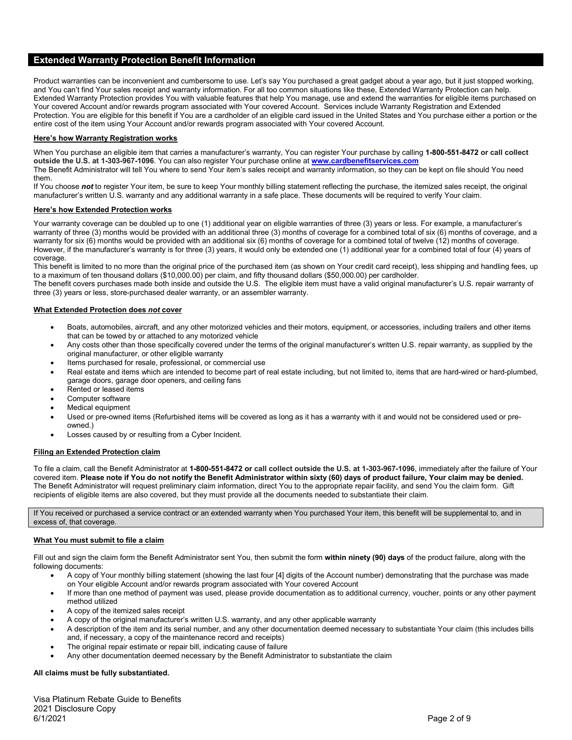# **Extended Warranty Protection Benefit Information**

Product warranties can be inconvenient and cumbersome to use. Let's say You purchased a great gadget about a year ago, but it just stopped working, and You can't find Your sales receipt and warranty information. For all too common situations like these, Extended Warranty Protection can help. Extended Warranty Protection provides You with valuable features that help You manage, use and extend the warranties for eligible items purchased on Your covered Account and/or rewards program associated with Your covered Account. Services include Warranty Registration and Extended Protection. You are eligible for this benefit if You are a cardholder of an eligible card issued in the United States and You purchase either a portion or the entire cost of the item using Your Account and/or rewards program associated with Your covered Account.

#### **Here's how Warranty Registration works**

When You purchase an eligible item that carries a manufacturer's warranty, You can register Your purchase by calling **1-800-551-8472 or call collect outside the U.S. at 1-303-967-1096**. You can also register Your purchase online at **[www.cardbenefitservices.com](http://www.cardbenefitservices.com/)**.

The Benefit Administrator will tell You where to send Your item's sales receipt and warranty information, so they can be kept on file should You need them.

If You choose not to register Your item, be sure to keep Your monthly billing statement reflecting the purchase, the itemized sales receipt, the original manufacturer's written U.S. warranty and any additional warranty in a safe place. These documents will be required to verify Your claim.

#### **Here's how Extended Protection works**

Your warranty coverage can be doubled up to one (1) additional year on eligible warranties of three (3) years or less. For example, a manufacturer's warranty of three (3) months would be provided with an additional three (3) months of coverage for a combined total of six (6) months of coverage, and a warranty for six (6) months would be provided with an additional six (6) months of coverage for a combined total of twelve (12) months of coverage. However, if the manufacturer's warranty is for three (3) years, it would only be extended one (1) additional year for a combined total of four (4) years of coverage.

This benefit is limited to no more than the original price of the purchased item (as shown on Your credit card receipt), less shipping and handling fees, up to a maximum of ten thousand dollars (\$10,000.00) per claim, and fifty thousand dollars (\$50,000.00) per cardholder.

The benefit covers purchases made both inside and outside the U.S. The eligible item must have a valid original manufacturer's U.S. repair warranty of three (3) years or less, store-purchased dealer warranty, or an assembler warranty.

#### **What Extended Protection does** *not* **cover**

- Boats, automobiles, aircraft, and any other motorized vehicles and their motors, equipment, or accessories, including trailers and other items that can be towed by or attached to any motorized vehicle
- Any costs other than those specifically covered under the terms of the original manufacturer's written U.S. repair warranty, as supplied by the original manufacturer, or other eligible warranty
- Items purchased for resale, professional, or commercial use
- Real estate and items which are intended to become part of real estate including, but not limited to, items that are hard-wired or hard-plumbed, garage doors, garage door openers, and ceiling fans
- Rented or leased items
- Computer software
- Medical equipment
- Used or pre-owned items (Refurbished items will be covered as long as it has a warranty with it and would not be considered used or preowned.)
- Losses caused by or resulting from a Cyber Incident.

#### **Filing an Extended Protection claim**

To file a claim, call the Benefit Administrator at **1-800-551-8472 or call collect outside the U.S. at 1-303-967-1096**, immediately after the failure of Your covered item. **Please note if You do not notify the Benefit Administrator within sixty (60) days of product failure, Your claim may be denied.**  The Benefit Administrator will request preliminary claim information, direct You to the appropriate repair facility, and send You the claim form. Gift recipients of eligible items are also covered, but they must provide all the documents needed to substantiate their claim.

If You received or purchased a service contract or an extended warranty when You purchased Your item, this benefit will be supplemental to, and in excess of, that coverage.

#### **What You must submit to file a claim**

Fill out and sign the claim form the Benefit Administrator sent You, then submit the form **within ninety (90) days** of the product failure, along with the following documents:

- A copy of Your monthly billing statement (showing the last four [4] digits of the Account number) demonstrating that the purchase was made on Your eligible Account and/or rewards program associated with Your covered Account
- If more than one method of payment was used, please provide documentation as to additional currency, voucher, points or any other payment method utilized
- A copy of the itemized sales receipt
- A copy of the original manufacturer's written U.S. warranty, and any other applicable warranty
- A description of the item and its serial number, and any other documentation deemed necessary to substantiate Your claim (this includes bills and, if necessary, a copy of the maintenance record and receipts)
- The original repair estimate or repair bill, indicating cause of failure
- Any other documentation deemed necessary by the Benefit Administrator to substantiate the claim

#### **All claims must be fully substantiated.**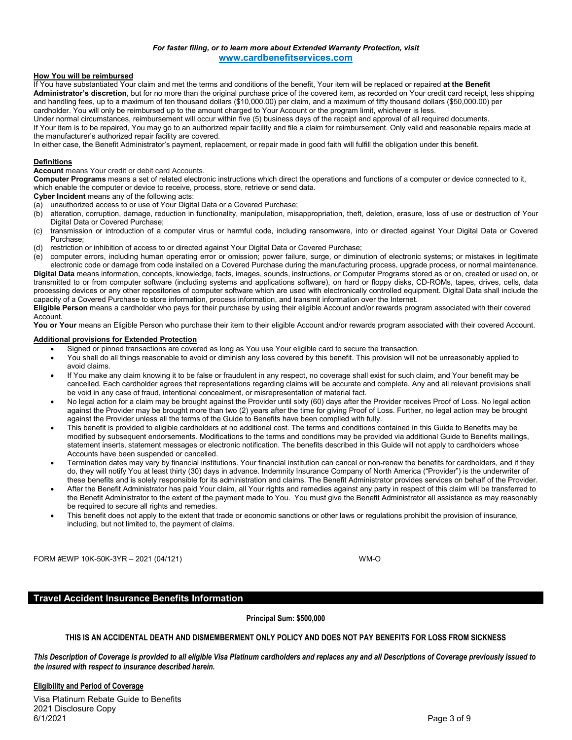### *For faster filing, or to learn more about Extended Warranty Protection, visit* **[www.cardbenefitservices.com](http://www.cardbenefitservices.com/)**

#### **How You will be reimbursed**

If You have substantiated Your claim and met the terms and conditions of the benefit, Your item will be replaced or repaired **at the Benefit Administrator's discretion**, but for no more than the original purchase price of the covered item, as recorded on Your credit card receipt, less shipping and handling fees, up to a maximum of ten thousand dollars (\$10,000.00) per claim, and a maximum of fifty thousand dollars (\$50,000.00) per cardholder. You will only be reimbursed up to the amount charged to Your Account or the program limit, whichever is less.

Under normal circumstances, reimbursement will occur within five (5) business days of the receipt and approval of all required documents.

If Your item is to be repaired, You may go to an authorized repair facility and file a claim for reimbursement. Only valid and reasonable repairs made at the manufacturer's authorized repair facility are covered.

In either case, the Benefit Administrator's payment, replacement, or repair made in good faith will fulfill the obligation under this benefit.

#### **Definitions**

**Account** means Your credit or debit card Accounts.

**Computer Programs** means a set of related electronic instructions which direct the operations and functions of a computer or device connected to it, which enable the computer or device to receive, process, store, retrieve or send data.

**Cyber Incident** means any of the following acts:

- (a) unauthorized access to or use of Your Digital Data or a Covered Purchase;
- (b) alteration, corruption, damage, reduction in functionality, manipulation, misappropriation, theft, deletion, erasure, loss of use or destruction of Your Digital Data or Covered Purchase;
- (c) transmission or introduction of a computer virus or harmful code, including ransomware, into or directed against Your Digital Data or Covered Purchase;
- (d) restriction or inhibition of access to or directed against Your Digital Data or Covered Purchase;

(e) computer errors, including human operating error or omission; power failure, surge, or diminution of electronic systems; or mistakes in legitimate electronic code or damage from code installed on a Covered Purchase during the manufacturing process, upgrade process, or normal maintenance. **Digital Data** means information, concepts, knowledge, facts, images, sounds, instructions, or Computer Programs stored as or on, created or used on, or transmitted to or from computer software (including systems and applications software), on hard or floppy disks, CD-ROMs, tapes, drives, cells, data processing devices or any other repositories of computer software which are used with electronically controlled equipment. Digital Data shall include the capacity of a Covered Purchase to store information, process information, and transmit information over the Internet.

**Eligible Person** means a cardholder who pays for their purchase by using their eligible Account and/or rewards program associated with their covered Account.

You or Your means an Eligible Person who purchase their item to their eligible Account and/or rewards program associated with their covered Account.

#### **Additional provisions for Extended Protection**

- Signed or pinned transactions are covered as long as You use Your eligible card to secure the transaction.
- You shall do all things reasonable to avoid or diminish any loss covered by this benefit. This provision will not be unreasonably applied to avoid claims.
- If You make any claim knowing it to be false or fraudulent in any respect, no coverage shall exist for such claim, and Your benefit may be cancelled. Each cardholder agrees that representations regarding claims will be accurate and complete. Any and all relevant provisions shall be void in any case of fraud, intentional concealment, or misrepresentation of material fact.
- No legal action for a claim may be brought against the Provider until sixty (60) days after the Provider receives Proof of Loss. No legal action against the Provider may be brought more than two (2) years after the time for giving Proof of Loss. Further, no legal action may be brought against the Provider unless all the terms of the Guide to Benefits have been complied with fully.
- This benefit is provided to eligible cardholders at no additional cost. The terms and conditions contained in this Guide to Benefits may be modified by subsequent endorsements. Modifications to the terms and conditions may be provided via additional Guide to Benefits mailings, statement inserts, statement messages or electronic notification. The benefits described in this Guide will not apply to cardholders whose Accounts have been suspended or cancelled.
- Termination dates may vary by financial institutions. Your financial institution can cancel or non-renew the benefits for cardholders, and if they do, they will notify You at least thirty (30) days in advance. Indemnity Insurance Company of North America ("Provider") is the underwriter of these benefits and is solely responsible for its administration and claims. The Benefit Administrator provides services on behalf of the Provider.
- After the Benefit Administrator has paid Your claim, all Your rights and remedies against any party in respect of this claim will be transferred to the Benefit Administrator to the extent of the payment made to You. You must give the Benefit Administrator all assistance as may reasonably be required to secure all rights and remedies.
- This benefit does not apply to the extent that trade or economic sanctions or other laws or regulations prohibit the provision of insurance, including, but not limited to, the payment of claims.

FORM #EWP 10K-50K-3YR – 2021 (04/121) WM-O

# **Travel Accident Insurance Benefits Information**

**Principal Sum: \$500,000**

# **THIS IS AN ACCIDENTAL DEATH AND DISMEMBERMENT ONLY POLICY AND DOES NOT PAY BENEFITS FOR LOSS FROM SICKNESS**

*This Description of Coverage is provided to all eligible Visa Platinum cardholders and replaces any and all Descriptions of Coverage previously issued to the insured with respect to insurance described herein.*

#### **Eligibility and Period of Coverage**

Visa Platinum Rebate Guide to Benefits 2021 Disclosure Copy<br>6/1/2021 6/1/2021 Page 3 of 9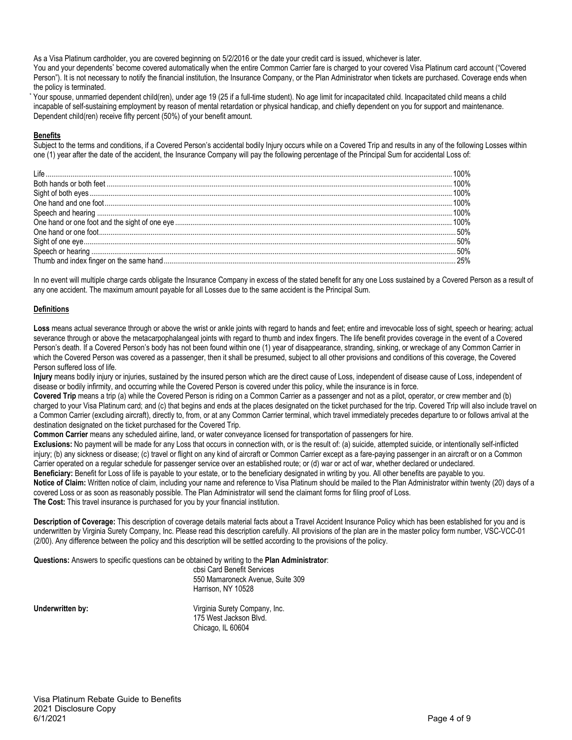As a Visa Platinum cardholder, you are covered beginning on 5/2/2016 or the date your credit card is issued, whichever is later.

You and your dependents\* become covered automatically when the entire Common Carrier fare is charged to your covered Visa Platinum card account ("Covered Person"). It is not necessary to notify the financial institution, the Insurance Company, or the Plan Administrator when tickets are purchased. Coverage ends when the policy is terminated.

Your spouse, unmarried dependent child(ren), under age 19 (25 if a full-time student). No age limit for incapacitated child. Incapacitated child means a child incapable of self-sustaining employment by reason of mental retardation or physical handicap, and chiefly dependent on you for support and maintenance. Dependent child(ren) receive fifty percent (50%) of your benefit amount.

# **Benefits**

Subject to the terms and conditions, if a Covered Person's accidental bodily Injury occurs while on a Covered Trip and results in any of the following Losses within one (1) year after the date of the accident, the Insurance Company will pay the following percentage of the Principal Sum for accidental Loss of:

In no event will multiple charge cards obligate the Insurance Company in excess of the stated benefit for any one Loss sustained by a Covered Person as a result of any one accident. The maximum amount payable for all Losses due to the same accident is the Principal Sum.

# **Definitions**

Loss means actual severance through or above the wrist or ankle joints with regard to hands and feet; entire and irrevocable loss of sight, speech or hearing; actual severance through or above the metacarpophalangeal joints with regard to thumb and index fingers. The life benefit provides coverage in the event of a Covered Person's death. If a Covered Person's body has not been found within one (1) year of disappearance, stranding, sinking, or wreckage of any Common Carrier in which the Covered Person was covered as a passenger, then it shall be presumed, subject to all other provisions and conditions of this coverage, the Covered Person suffered loss of life.

**Injury** means bodily injury or injuries, sustained by the insured person which are the direct cause of Loss, independent of disease cause of Loss, independent of disease or bodily infirmity, and occurring while the Covered Person is covered under this policy, while the insurance is in force.

Covered Trip means a trip (a) while the Covered Person is riding on a Common Carrier as a passenger and not as a pilot, operator, or crew member and (b) charged to your Visa Platinum card; and (c) that begins and ends at the places designated on the ticket purchased for the trip. Covered Trip will also include travel on a Common Carrier (excluding aircraft), directly to, from, or at any Common Carrier terminal, which travel immediately precedes departure to or follows arrival at the destination designated on the ticket purchased for the Covered Trip.

**Common Carrier** means any scheduled airline, land, or water conveyance licensed for transportation of passengers for hire.

**Exclusions:** No payment will be made for any Loss that occurs in connection with, or is the result of: (a) suicide, attempted suicide, or intentionally self-inflicted injury; (b) any sickness or disease; (c) travel or flight on any kind of aircraft or Common Carrier except as a fare-paying passenger in an aircraft or on a Common Carrier operated on a regular schedule for passenger service over an established route; or (d) war or act of war, whether declared or undeclared.

**Beneficiary:** Benefit for Loss of life is payable to your estate, or to the beneficiary designated in writing by you. All other benefits are payable to you. **Notice of Claim:** Written notice of claim, including your name and reference to Visa Platinum should be mailed to the Plan Administrator within twenty (20) days of a covered Loss or as soon as reasonably possible. The Plan Administrator will send the claimant forms for filing proof of Loss.

**The Cost:** This travel insurance is purchased for you by your financial institution.

**Description of Coverage:** This description of coverage details material facts about a Travel Accident Insurance Policy which has been established for you and is underwritten by Virginia Surety Company, Inc. Please read this description carefully. All provisions of the plan are in the master policy form number, VSC-VCC-01 (2/00). Any difference between the policy and this description will be settled according to the provisions of the policy.

**Questions:** Answers to specific questions can be obtained by writing to the **Plan Administrator**:

cbsi Card Benefit Services 550 Mamaroneck Avenue, Suite 309 Harrison, NY 10528

**Underwritten by:** Virginia Surety Company, Inc. 175 West Jackson Blvd. Chicago, IL 60604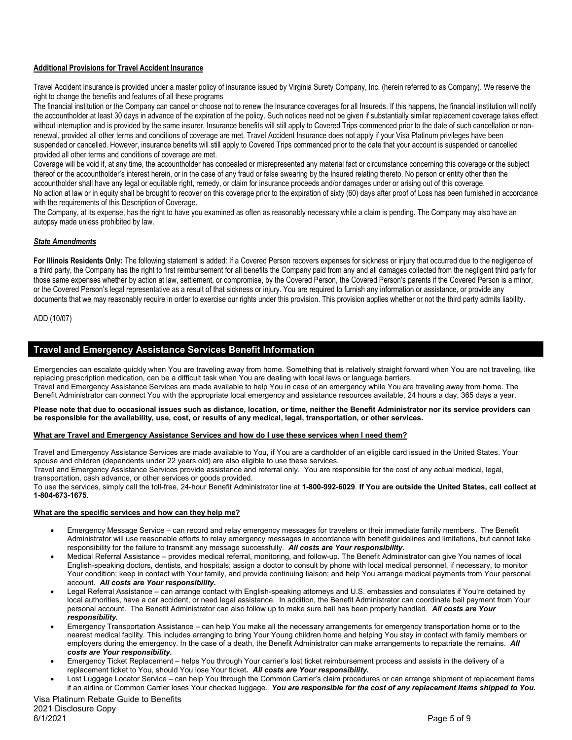# **Additional Provisions for Travel Accident Insurance**

Travel Accident Insurance is provided under a master policy of insurance issued by Virginia Surety Company, Inc. (herein referred to as Company). We reserve the right to change the benefits and features of all these programs

The financial institution or the Company can cancel or choose not to renew the Insurance coverages for all Insureds. If this happens, the financial institution will notify the accountholder at least 30 days in advance of the expiration of the policy. Such notices need not be given if substantially similar replacement coverage takes effect without interruption and is provided by the same insurer. Insurance benefits will still apply to Covered Trips commenced prior to the date of such cancellation or nonrenewal, provided all other terms and conditions of coverage are met. Travel Accident Insurance does not apply if your Visa Platinum privileges have been suspended or cancelled. However, insurance benefits will still apply to Covered Trips commenced prior to the date that your account is suspended or cancelled provided all other terms and conditions of coverage are met.

Coverage will be void if, at any time, the accountholder has concealed or misrepresented any material fact or circumstance concerning this coverage or the subject thereof or the accountholder's interest herein, or in the case of any fraud or false swearing by the Insured relating thereto. No person or entity other than the accountholder shall have any legal or equitable right, remedy, or claim for insurance proceeds and/or damages under or arising out of this coverage. No action at law or in equity shall be brought to recover on this coverage prior to the expiration of sixty (60) days after proof of Loss has been furnished in accordance with the requirements of this Description of Coverage.

The Company, at its expense, has the right to have you examined as often as reasonably necessary while a claim is pending. The Company may also have an autopsy made unless prohibited by law.

# *State Amendments*

For Illinois Residents Only: The following statement is added: If a Covered Person recovers expenses for sickness or injury that occurred due to the negligence of a third party, the Company has the right to first reimbursement for all benefits the Company paid from any and all damages collected from the negligent third party for those same expenses whether by action at law, settlement, or compromise, by the Covered Person, the Covered Person's parents if the Covered Person is a minor, or the Covered Person's legal representative as a result of that sickness or injury. You are required to furnish any information or assistance, or provide any documents that we may reasonably require in order to exercise our rights under this provision. This provision applies whether or not the third party admits liability.

ADD (10/07)

# **Travel and Emergency Assistance Services Benefit Information**

Emergencies can escalate quickly when You are traveling away from home. Something that is relatively straight forward when You are not traveling, like replacing prescription medication, can be a difficult task when You are dealing with local laws or language barriers. Travel and Emergency Assistance Services are made available to help You in case of an emergency while You are traveling away from home. The Benefit Administrator can connect You with the appropriate local emergency and assistance resources available, 24 hours a day, 365 days a year.

#### **Please note that due to occasional issues such as distance, location, or time, neither the Benefit Administrator nor its service providers can be responsible for the availability, use, cost, or results of any medical, legal, transportation, or other services.**

#### **What are Travel and Emergency Assistance Services and how do I use these services when I need them?**

Travel and Emergency Assistance Services are made available to You, if You are a cardholder of an eligible card issued in the United States. Your spouse and children (dependents under 22 years old) are also eligible to use these services.

Travel and Emergency Assistance Services provide assistance and referral only. You are responsible for the cost of any actual medical, legal, transportation, cash advance, or other services or goods provided.

To use the services, simply call the toll-free, 24-hour Benefit Administrator line at **1-800-992-6029**. **If You are outside the United States, call collect at 1-804-673-1675**.

#### **What are the specific services and how can they help me?**

- Emergency Message Service can record and relay emergency messages for travelers or their immediate family members. The Benefit Administrator will use reasonable efforts to relay emergency messages in accordance with benefit guidelines and limitations, but cannot take responsibility for the failure to transmit any message successfully. *All costs are Your responsibility.*
- Medical Referral Assistance provides medical referral, monitoring, and follow-up. The Benefit Administrator can give You names of local English-speaking doctors, dentists, and hospitals; assign a doctor to consult by phone with local medical personnel, if necessary, to monitor Your condition; keep in contact with Your family, and provide continuing liaison; and help You arrange medical payments from Your personal account. *All costs are Your responsibility.*
- Legal Referral Assistance can arrange contact with English-speaking attorneys and U.S. embassies and consulates if You're detained by local authorities, have a car accident, or need legal assistance. In addition, the Benefit Administrator can coordinate bail payment from Your personal account. The Benefit Administrator can also follow up to make sure bail has been properly handled. *All costs are Your responsibility.*
- Emergency Transportation Assistance can help You make all the necessary arrangements for emergency transportation home or to the nearest medical facility. This includes arranging to bring Your Young children home and helping You stay in contact with family members or employers during the emergency. In the case of a death, the Benefit Administrator can make arrangements to repatriate the remains. *All costs are Your responsibility.*
- Emergency Ticket Replacement helps You through Your carrier's lost ticket reimbursement process and assists in the delivery of a replacement ticket to You, should You lose Your ticket**.** *All costs are Your responsibility.*
- Lost Luggage Locator Service can help You through the Common Carrier's claim procedures or can arrange shipment of replacement items if an airline or Common Carrier loses Your checked luggage. *You are responsible for the cost of any replacement items shipped to You.*

Visa Platinum Rebate Guide to Benefits 2021 Disclosure Copy<br>6/1/2021 6/1/2021 Page 5 of 9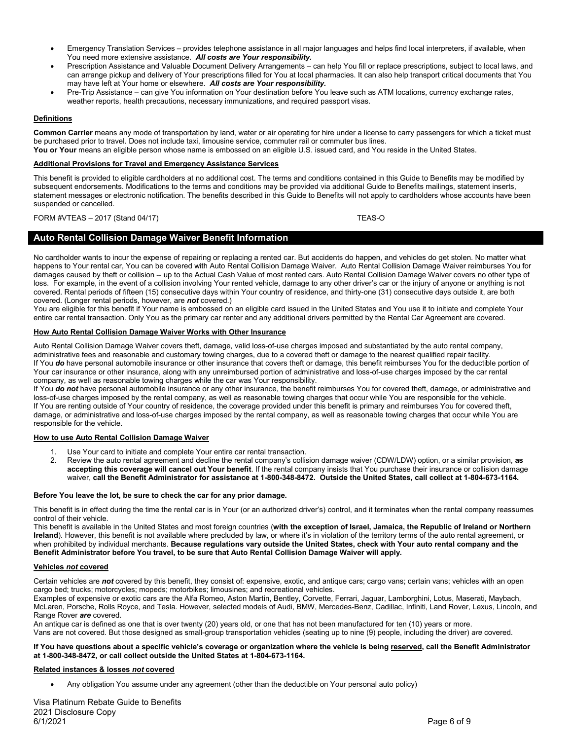- Emergency Translation Services provides telephone assistance in all major languages and helps find local interpreters, if available, when You need more extensive assistance. *All costs are Your responsibility.*
- Prescription Assistance and Valuable Document Delivery Arrangements can help You fill or replace prescriptions, subject to local laws, and can arrange pickup and delivery of Your prescriptions filled for You at local pharmacies. It can also help transport critical documents that You may have left at Your home or elsewhere. *All costs are Your responsibility.*
- Pre-Trip Assistance can give You information on Your destination before You leave such as ATM locations, currency exchange rates, weather reports, health precautions, necessary immunizations, and required passport visas.

# **Definitions**

**Common Carrier** means any mode of transportation by land, water or air operating for hire under a license to carry passengers for which a ticket must be purchased prior to travel. Does not include taxi, limousine service, commuter rail or commuter bus lines.

# You or Your means an eligible person whose name is embossed on an eligible U.S. issued card, and You reside in the United States.

#### **Additional Provisions for Travel and Emergency Assistance Services**

This benefit is provided to eligible cardholders at no additional cost. The terms and conditions contained in this Guide to Benefits may be modified by subsequent endorsements. Modifications to the terms and conditions may be provided via additional Guide to Benefits mailings, statement inserts, statement messages or electronic notification. The benefits described in this Guide to Benefits will not apply to cardholders whose accounts have been suspended or cancelled.

# FORM #VTEAS - 2017 (Stand 04/17) TEAS-O

# **Auto Rental Collision Damage Waiver Benefit Information**

No cardholder wants to incur the expense of repairing or replacing a rented car. But accidents do happen, and vehicles do get stolen. No matter what happens to Your rental car, You can be covered with Auto Rental Collision Damage Waiver. Auto Rental Collision Damage Waiver reimburses You for damages caused by theft or collision -- up to the Actual Cash Value of most rented cars. Auto Rental Collision Damage Waiver covers no other type of loss. For example, in the event of a collision involving Your rented vehicle, damage to any other driver's car or the injury of anyone or anything is not covered. Rental periods of fifteen (15) consecutive days within Your country of residence, and thirty-one (31) consecutive days outside it, are both covered. (Longer rental periods, however, are *not* covered.)

You are eligible for this benefit if Your name is embossed on an eligible card issued in the United States and You use it to initiate and complete Your entire car rental transaction. Only You as the primary car renter and any additional drivers permitted by the Rental Car Agreement are covered.

#### **How Auto Rental Collision Damage Waiver Works with Other Insurance**

Auto Rental Collision Damage Waiver covers theft, damage, valid loss-of-use charges imposed and substantiated by the auto rental company, administrative fees and reasonable and customary towing charges, due to a covered theft or damage to the nearest qualified repair facility. If You *do* have personal automobile insurance or other insurance that covers theft or damage, this benefit reimburses You for the deductible portion of Your car insurance or other insurance, along with any unreimbursed portion of administrative and loss-of-use charges imposed by the car rental company, as well as reasonable towing charges while the car was Your responsibility.

If You *do not* have personal automobile insurance or any other insurance, the benefit reimburses You for covered theft, damage, or administrative and loss-of-use charges imposed by the rental company, as well as reasonable towing charges that occur while You are responsible for the vehicle. If You are renting outside of Your country of residence, the coverage provided under this benefit is primary and reimburses You for covered theft, damage, or administrative and loss-of-use charges imposed by the rental company, as well as reasonable towing charges that occur while You are responsible for the vehicle.

#### **How to use Auto Rental Collision Damage Waiver**

- 1. Use Your card to initiate and complete Your entire car rental transaction.<br>2. Review the auto rental agreement and decline the rental company's collis
- 2. Review the auto rental agreement and decline the rental company's collision damage waiver (CDW/LDW) option, or a similar provision, **as accepting this coverage will cancel out Your benefit**. If the rental company insists that You purchase their insurance or collision damage waiver, **call the Benefit Administrator for assistance at 1-800-348-8472. Outside the United States, call collect at 1-804-673-1164.**

#### **Before You leave the lot, be sure to check the car for any prior damage.**

This benefit is in effect during the time the rental car is in Your (or an authorized driver's) control, and it terminates when the rental company reassumes control of their vehicle.

This benefit is available in the United States and most foreign countries (**with the exception of Israel, Jamaica, the Republic of Ireland or Northern Ireland**). However, this benefit is not available where precluded by law, or where it's in violation of the territory terms of the auto rental agreement, or when prohibited by individual merchants. **Because regulations vary outside the United States, check with Your auto rental company and the Benefit Administrator before You travel, to be sure that Auto Rental Collision Damage Waiver will apply.**

#### **Vehicles** *not* **covered**

Certain vehicles are *not* covered by this benefit, they consist of: expensive, exotic, and antique cars; cargo vans; certain vans; vehicles with an open cargo bed; trucks; motorcycles; mopeds; motorbikes; limousines; and recreational vehicles.

Examples of expensive or exotic cars are the Alfa Romeo, Aston Martin, Bentley, Corvette, Ferrari, Jaguar, Lamborghini, Lotus, Maserati, Maybach, McLaren, Porsche, Rolls Royce, and Tesla. However, selected models of Audi, BMW, Mercedes-Benz, Cadillac, Infiniti, Land Rover, Lexus, Lincoln, and Range Rover *are* covered.

An antique car is defined as one that is over twenty (20) years old, or one that has not been manufactured for ten (10) years or more. Vans are not covered. But those designed as small-group transportation vehicles (seating up to nine (9) people, including the driver) *are* covered.

#### **If You have questions about a specific vehicle's coverage or organization where the vehicle is being reserved, call the Benefit Administrator at 1-800-348-8472, or call collect outside the United States at 1-804-673-1164.**

#### **Related instances & losses** *not* **covered**

• Any obligation You assume under any agreement (other than the deductible on Your personal auto policy)

Visa Platinum Rebate Guide to Benefits 2021 Disclosure Copy 6/1/2021 Page 6 of 9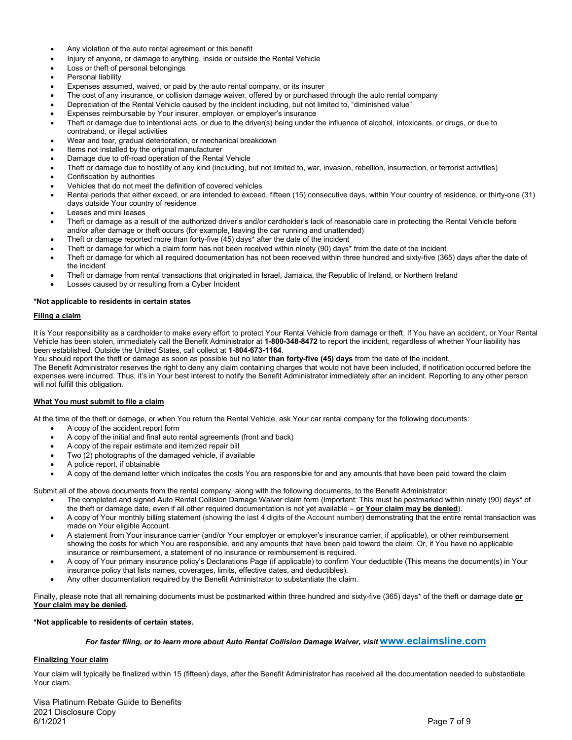- Any violation of the auto rental agreement or this benefit
- Injury of anyone, or damage to anything, inside or outside the Rental Vehicle
- Loss or theft of personal belongings
- Personal liability
- Expenses assumed, waived, or paid by the auto rental company, or its insurer
- The cost of any insurance, or collision damage waiver, offered by or purchased through the auto rental company
- Depreciation of the Rental Vehicle caused by the incident including, but not limited to, "diminished value"
- Expenses reimbursable by Your insurer, employer, or employer's insurance
- Theft or damage due to intentional acts, or due to the driver(s) being under the influence of alcohol, intoxicants, or drugs, or due to contraband, or illegal activities
- Wear and tear, gradual deterioration, or mechanical breakdown
- Items not installed by the original manufacturer
- Damage due to off-road operation of the Rental Vehicle
- Theft or damage due to hostility of any kind (including, but not limited to, war, invasion, rebellion, insurrection, or terrorist activities)
- Confiscation by authorities
- Vehicles that do not meet the definition of covered vehicles
- Rental periods that either exceed, or are intended to exceed, fifteen (15) consecutive days, within Your country of residence, or thirty-one (31) days outside Your country of residence
- Leases and mini leases
- Theft or damage as a result of the authorized driver's and/or cardholder's lack of reasonable care in protecting the Rental Vehicle before and/or after damage or theft occurs (for example, leaving the car running and unattended)
- Theft or damage reported more than forty-five (45) days\* after the date of the incident
- Theft or damage for which a claim form has not been received within ninety (90) days\* from the date of the incident
- Theft or damage for which all required documentation has not been received within three hundred and sixty-five (365) days after the date of the incident
- Theft or damage from rental transactions that originated in Israel, Jamaica, the Republic of Ireland, or Northern Ireland
- Losses caused by or resulting from a Cyber Incident

#### **\*Not applicable to residents in certain states**

#### **Filing a claim**

It is Your responsibility as a cardholder to make every effort to protect Your Rental Vehicle from damage or theft. If You have an accident, or Your Rental Vehicle has been stolen, immediately call the Benefit Administrator at **1-800-348-8472** to report the incident, regardless of whether Your liability has been established. Outside the United States, call collect at **1**-**804-673-1164**.

You should report the theft or damage as soon as possible but no later **than forty-five (45) days** from the date of the incident.

The Benefit Administrator reserves the right to deny any claim containing charges that would not have been included, if notification occurred before the expenses were incurred. Thus, it's in Your best interest to notify the Benefit Administrator immediately after an incident. Reporting to any other person will not fulfill this obligation.

#### **What You must submit to file a claim**

At the time of the theft or damage, or when You return the Rental Vehicle, ask Your car rental company for the following documents:

- A copy of the accident report form
- A copy of the initial and final auto rental agreements (front and back)
- A copy of the repair estimate and itemized repair bill
- Two (2) photographs of the damaged vehicle, if available
- A police report, if obtainable
- A copy of the demand letter which indicates the costs You are responsible for and any amounts that have been paid toward the claim

Submit all of the above documents from the rental company, along with the following documents, to the Benefit Administrator:

- The completed and signed Auto Rental Collision Damage Waiver claim form (Important: This must be postmarked within ninety (90) days\* of the theft or damage date, even if all other required documentation is not yet available – **or Your claim may be denied**).
- A copy of Your monthly billing statement (showing the last 4 digits of the Account number) demonstrating that the entire rental transaction was made on Your eligible Account.
- A statement from Your insurance carrier (and/or Your employer or employer's insurance carrier, if applicable), or other reimbursement showing the costs for which You are responsible, and any amounts that have been paid toward the claim. Or, if You have no applicable insurance or reimbursement, a statement of no insurance or reimbursement is required.
- A copy of Your primary insurance policy's Declarations Page (if applicable) to confirm Your deductible (This means the document(s) in Your insurance policy that lists names, coverages, limits, effective dates, and deductibles).
- Any other documentation required by the Benefit Administrator to substantiate the claim.

Finally, please note that all remaining documents must be postmarked within three hundred and sixty-five (365) days\* of the theft or damage date **or Your claim may be denied.**

#### **\*Not applicable to residents of certain states.**

# *For faster filing, or to learn more about Auto Rental Collision Damage Waiver, visit* **[www.eclaimsline.com](http://www.eclaimsline.com/)**

#### **Finalizing Your claim**

Your claim will typically be finalized within 15 (fifteen) days, after the Benefit Administrator has received all the documentation needed to substantiate Your claim.

Visa Platinum Rebate Guide to Benefits 2021 Disclosure Copy 6/1/2021 Page 7 of 9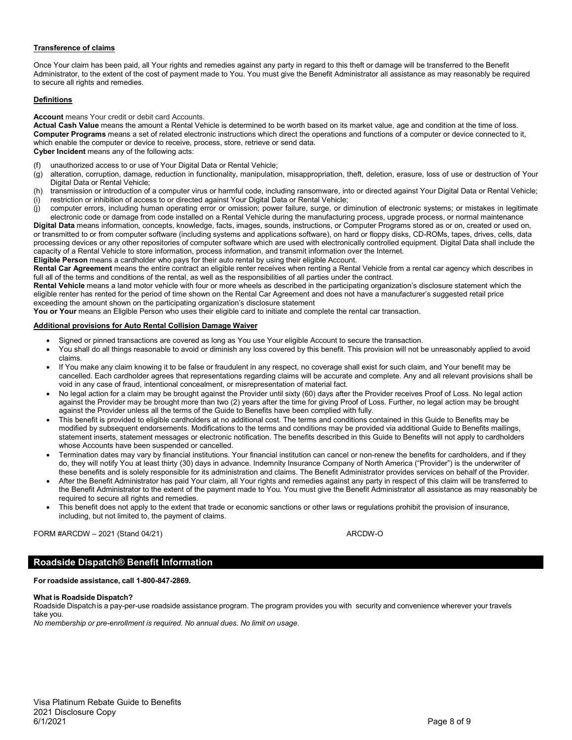# **Transference of claims**

Once Your claim has been paid, all Your rights and remedies against any party in regard to this theft or damage will be transferred to the Benefit Administrator, to the extent of the cost of payment made to You. You must give the Benefit Administrator all assistance as may reasonably be required to secure all rights and remedies.

# **Definitions**

#### **Account** means Your credit or debit card Accounts.

**Actual Cash Value** means the amount a Rental Vehicle is determined to be worth based on its market value, age and condition at the time of loss. **Computer Programs** means a set of related electronic instructions which direct the operations and functions of a computer or device connected to it, which enable the computer or device to receive, process, store, retrieve or send data. **Cyber Incident** means any of the following acts:

- (f) unauthorized access to or use of Your Digital Data or Rental Vehicle;
- (g) alteration, corruption, damage, reduction in functionality, manipulation, misappropriation, theft, deletion, erasure, loss of use or destruction of Your Digital Data or Rental Vehicle;
- (h) transmission or introduction of a computer virus or harmful code, including ransomware, into or directed against Your Digital Data or Rental Vehicle;
- (i) restriction or inhibition of access to or directed against Your Digital Data or Rental Vehicle;
- (j) computer errors, including human operating error or omission; power failure, surge, or diminution of electronic systems; or mistakes in legitimate electronic code or damage from code installed on a Rental Vehicle during the manufacturing process, upgrade process, or normal maintenance

**Digital Data** means information, concepts, knowledge, facts, images, sounds, instructions, or Computer Programs stored as or on, created or used on, or transmitted to or from computer software (including systems and applications software), on hard or floppy disks, CD-ROMs, tapes, drives, cells, data processing devices or any other repositories of computer software which are used with electronically controlled equipment. Digital Data shall include the capacity of a Rental Vehicle to store information, process information, and transmit information over the Internet.

**Eligible Person** means a cardholder who pays for their auto rental by using their eligible Account. **Rental Car Agreement** means the entire contract an eligible renter receives when renting a Rental Vehicle from a rental car agency which describes in

full all of the terms and conditions of the rental, as well as the responsibilities of all parties under the contract.

**Rental Vehicle** means a land motor vehicle with four or more wheels as described in the participating organization's disclosure statement which the eligible renter has rented for the period of time shown on the Rental Car Agreement and does not have a manufacturer's suggested retail price exceeding the amount shown on the participating organization's disclosure statement

**You or Your** means an Eligible Person who uses their eligible card to initiate and complete the rental car transaction.

#### **Additional provisions for Auto Rental Collision Damage Waiver**

- Signed or pinned transactions are covered as long as You use Your eligible Account to secure the transaction.
- You shall do all things reasonable to avoid or diminish any loss covered by this benefit. This provision will not be unreasonably applied to avoid claims.
- If You make any claim knowing it to be false or fraudulent in any respect, no coverage shall exist for such claim, and Your benefit may be cancelled. Each cardholder agrees that representations regarding claims will be accurate and complete. Any and all relevant provisions shall be void in any case of fraud, intentional concealment, or misrepresentation of material fact.
- No legal action for a claim may be brought against the Provider until sixty (60) days after the Provider receives Proof of Loss. No legal action against the Provider may be brought more than two (2) years after the time for giving Proof of Loss. Further, no legal action may be brought against the Provider unless all the terms of the Guide to Benefits have been complied with fully.
- This benefit is provided to eligible cardholders at no additional cost. The terms and conditions contained in this Guide to Benefits may be modified by subsequent endorsements. Modifications to the terms and conditions may be provided via additional Guide to Benefits mailings, statement inserts, statement messages or electronic notification. The benefits described in this Guide to Benefits will not apply to cardholders whose Accounts have been suspended or cancelled.
- Termination dates may vary by financial institutions. Your financial institution can cancel or non-renew the benefits for cardholders, and if they do, they will notify You at least thirty (30) days in advance. Indemnity Insurance Company of North America ("Provider") is the underwriter of these benefits and is solely responsible for its administration and claims. The Benefit Administrator provides services on behalf of the Provider.
- After the Benefit Administrator has paid Your claim, all Your rights and remedies against any party in respect of this claim will be transferred to the Benefit Administrator to the extent of the payment made to You. You must give the Benefit Administrator all assistance as may reasonably be required to secure all rights and remedies.
- This benefit does not apply to the extent that trade or economic sanctions or other laws or regulations prohibit the provision of insurance, including, but not limited to, the payment of claims.

FORM #ARCDW – 2021 (Stand 04/21) ARCDW-O

# **Roadside Dispatch® Benefit Information**

# **For roadside assistance, call 1-800-847-2869.**

#### **What is Roadside Dispatch?**

Roadside Dispatchis a pay-per-use roadside assistance program. The program provides you with security and convenience wherever your travels take you.

*No membership or pre-enrollment is required. No annual dues. No limit on usage.*